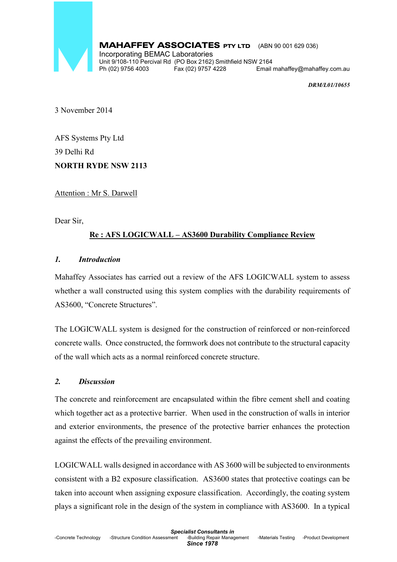

### MAHAFFEY ASSOCIATES PTY LTD (ABN 90 001 629 036)

Incorporating BEMAC Laboratories Unit 9/108-110 Percival Rd (PO Box 2162) Smithfield NSW 2164<br>Ph (02) 9756 4003 Fax (02) 9757 4228 Email Email mahaffey@mahaffey.com.au

*DRM/L01/10655* 

3 November 2014

AFS Systems Pty Ltd 39 Delhi Rd **NORTH RYDE NSW 2113** 

Attention : Mr S. Darwell

Dear Sir,

# **Re : AFS LOGICWALL – AS3600 Durability Compliance Review**

## *1. Introduction*

Mahaffey Associates has carried out a review of the AFS LOGICWALL system to assess whether a wall constructed using this system complies with the durability requirements of AS3600, "Concrete Structures".

The LOGICWALL system is designed for the construction of reinforced or non-reinforced concrete walls. Once constructed, the formwork does not contribute to the structural capacity of the wall which acts as a normal reinforced concrete structure.

### *2. Discussion*

The concrete and reinforcement are encapsulated within the fibre cement shell and coating which together act as a protective barrier. When used in the construction of walls in interior and exterior environments, the presence of the protective barrier enhances the protection against the effects of the prevailing environment.

LOGICWALL walls designed in accordance with AS 3600 will be subjected to environments consistent with a B2 exposure classification. AS3600 states that protective coatings can be taken into account when assigning exposure classification. Accordingly, the coating system plays a significant role in the design of the system in compliance with AS3600. In a typical